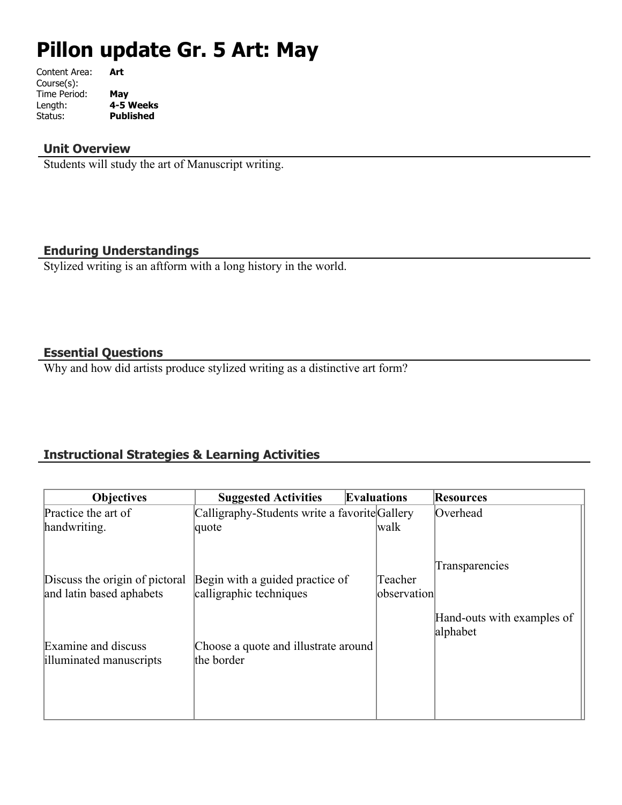# **Pillon update Gr. 5 Art: May**

| Art              |
|------------------|
|                  |
| May              |
| 4-5 Weeks        |
| <b>Published</b> |
|                  |

#### **Unit Overview**

Students will study the art of Manuscript writing.

#### **Enduring Understandings**

Stylized writing is an aftform with a long history in the world.

#### **Essential Questions**

Why and how did artists produce stylized writing as a distinctive art form?

# **Instructional Strategies & Learning Activities**

| <b>Objectives</b>              | <b>Suggested Activities</b>                   | <b>Evaluations</b> | <b>Resources</b>                       |
|--------------------------------|-----------------------------------------------|--------------------|----------------------------------------|
| Practice the art of            | Calligraphy-Students write a favorite Gallery |                    | Overhead                               |
| handwriting.                   | quote                                         | walk               |                                        |
|                                |                                               |                    | Transparencies                         |
| Discuss the origin of pictoral | Begin with a guided practice of               | Teacher            |                                        |
| and latin based aphabets       | calligraphic techniques                       | observation        |                                        |
|                                |                                               |                    | Hand-outs with examples of<br>alphabet |
| Examine and discuss            | Choose a quote and illustrate around          |                    |                                        |
| illuminated manuscripts        | the border                                    |                    |                                        |
|                                |                                               |                    |                                        |
|                                |                                               |                    |                                        |
|                                |                                               |                    |                                        |
|                                |                                               |                    |                                        |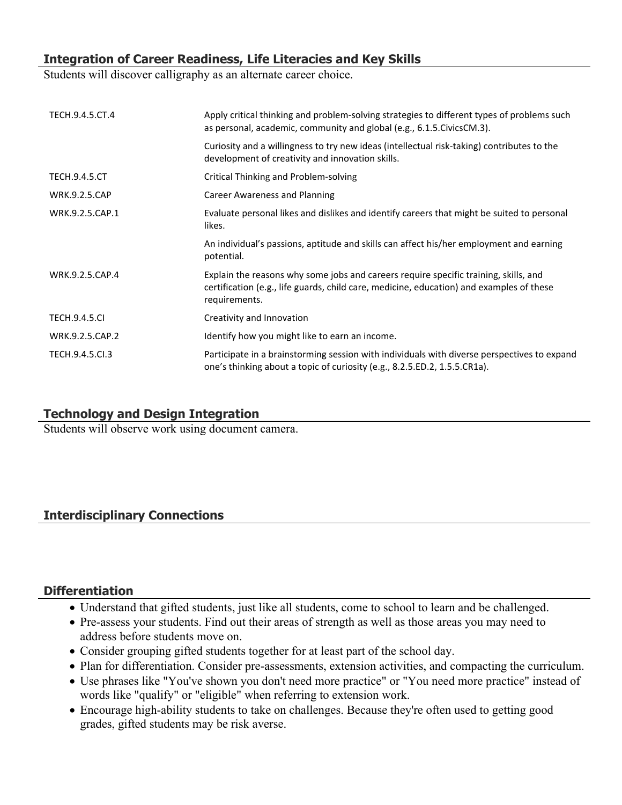### **Integration of Career Readiness, Life Literacies and Key Skills**

Students will discover calligraphy as an alternate career choice.

| TECH.9.4.5.CT.4      | Apply critical thinking and problem-solving strategies to different types of problems such<br>as personal, academic, community and global (e.g., 6.1.5. Civics CM.3).                             |
|----------------------|---------------------------------------------------------------------------------------------------------------------------------------------------------------------------------------------------|
|                      | Curiosity and a willingness to try new ideas (intellectual risk-taking) contributes to the<br>development of creativity and innovation skills.                                                    |
| <b>TECH.9.4.5.CT</b> | Critical Thinking and Problem-solving                                                                                                                                                             |
| <b>WRK.9.2.5.CAP</b> | <b>Career Awareness and Planning</b>                                                                                                                                                              |
| WRK.9.2.5.CAP.1      | Evaluate personal likes and dislikes and identify careers that might be suited to personal<br>likes.                                                                                              |
|                      | An individual's passions, aptitude and skills can affect his/her employment and earning<br>potential.                                                                                             |
| WRK.9.2.5.CAP.4      | Explain the reasons why some jobs and careers require specific training, skills, and<br>certification (e.g., life guards, child care, medicine, education) and examples of these<br>requirements. |
| <b>TECH.9.4.5.CI</b> | Creativity and Innovation                                                                                                                                                                         |
| WRK.9.2.5.CAP.2      | Identify how you might like to earn an income.                                                                                                                                                    |
| TECH.9.4.5.Cl.3      | Participate in a brainstorming session with individuals with diverse perspectives to expand<br>one's thinking about a topic of curiosity (e.g., 8.2.5.ED.2, 1.5.5.CR1a).                          |

# **Technology and Design Integration**

Students will observe work using document camera.

# **Interdisciplinary Connections**

#### **Differentiation**

- Understand that gifted students, just like all students, come to school to learn and be challenged.
- Pre-assess your students. Find out their areas of strength as well as those areas you may need to address before students move on.
- Consider grouping gifted students together for at least part of the school day.
- Plan for differentiation. Consider pre-assessments, extension activities, and compacting the curriculum.
- Use phrases like "You've shown you don't need more practice" or "You need more practice" instead of words like "qualify" or "eligible" when referring to extension work.
- Encourage high-ability students to take on challenges. Because they're often used to getting good grades, gifted students may be risk averse.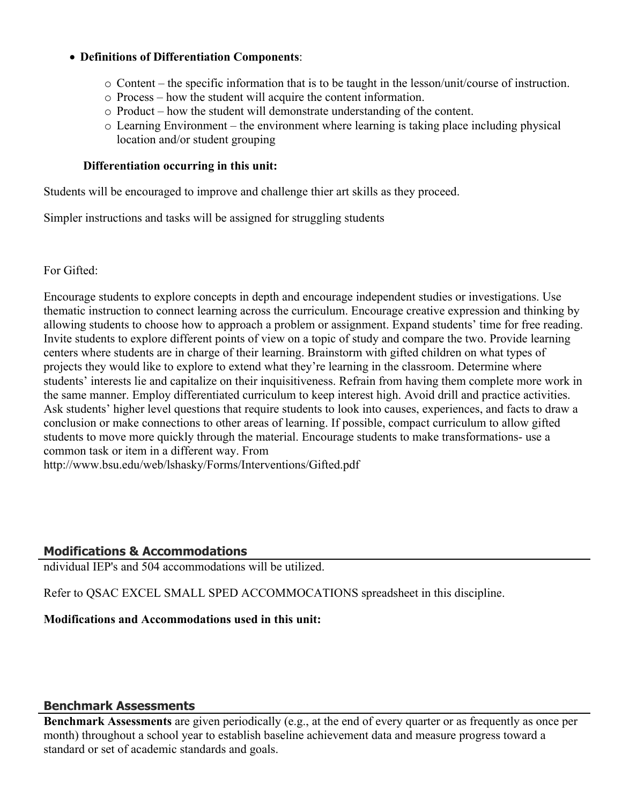#### **Definitions of Differentiation Components**:

- o Content the specific information that is to be taught in the lesson/unit/course of instruction.
- o Process how the student will acquire the content information.
- o Product how the student will demonstrate understanding of the content.
- o Learning Environment the environment where learning is taking place including physical location and/or student grouping

#### **Differentiation occurring in this unit:**

Students will be encouraged to improve and challenge thier art skills as they proceed.

Simpler instructions and tasks will be assigned for struggling students

For Gifted:

Encourage students to explore concepts in depth and encourage independent studies or investigations. Use thematic instruction to connect learning across the curriculum. Encourage creative expression and thinking by allowing students to choose how to approach a problem or assignment. Expand students' time for free reading. Invite students to explore different points of view on a topic of study and compare the two. Provide learning centers where students are in charge of their learning. Brainstorm with gifted children on what types of projects they would like to explore to extend what they're learning in the classroom. Determine where students' interests lie and capitalize on their inquisitiveness. Refrain from having them complete more work in the same manner. Employ differentiated curriculum to keep interest high. Avoid drill and practice activities. Ask students' higher level questions that require students to look into causes, experiences, and facts to draw a conclusion or make connections to other areas of learning. If possible, compact curriculum to allow gifted students to move more quickly through the material. Encourage students to make transformations- use a common task or item in a different way. From

http://www.bsu.edu/web/lshasky/Forms/Interventions/Gifted.pdf

#### **Modifications & Accommodations**

ndividual IEP's and 504 accommodations will be utilized.

Refer to QSAC EXCEL SMALL SPED ACCOMMOCATIONS spreadsheet in this discipline.

#### **Modifications and Accommodations used in this unit:**

#### **Benchmark Assessments**

**Benchmark Assessments** are given periodically (e.g., at the end of every quarter or as frequently as once per month) throughout a school year to establish baseline achievement data and measure progress toward a standard or set of academic standards and goals.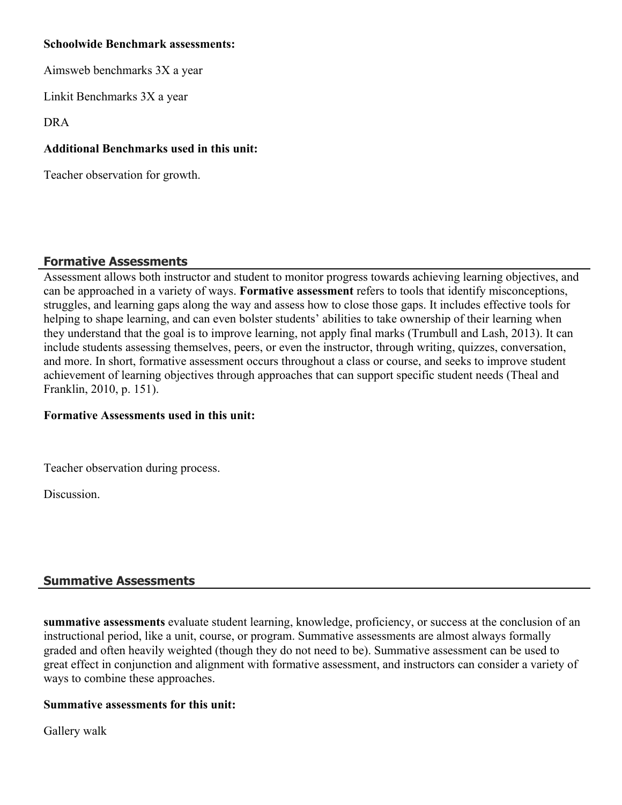#### **Schoolwide Benchmark assessments:**

Aimsweb benchmarks 3X a year

Linkit Benchmarks 3X a year

DRA

#### **Additional Benchmarks used in this unit:**

Teacher observation for growth.

#### **Formative Assessments**

Assessment allows both instructor and student to monitor progress towards achieving learning objectives, and can be approached in a variety of ways. **Formative assessment** refers to tools that identify misconceptions, struggles, and learning gaps along the way and assess how to close those gaps. It includes effective tools for helping to shape learning, and can even bolster students' abilities to take ownership of their learning when they understand that the goal is to improve learning, not apply final marks (Trumbull and Lash, 2013). It can include students assessing themselves, peers, or even the instructor, through writing, quizzes, conversation, and more. In short, formative assessment occurs throughout a class or course, and seeks to improve student achievement of learning objectives through approaches that can support specific student needs (Theal and Franklin, 2010, p. 151).

#### **Formative Assessments used in this unit:**

Teacher observation during process.

**Discussion** 

#### **Summative Assessments**

**summative assessments** evaluate student learning, knowledge, proficiency, or success at the conclusion of an instructional period, like a unit, course, or program. Summative assessments are almost always formally graded and often heavily weighted (though they do not need to be). Summative assessment can be used to great effect in conjunction and alignment with formative assessment, and instructors can consider a variety of ways to combine these approaches.

#### **Summative assessments for this unit:**

Gallery walk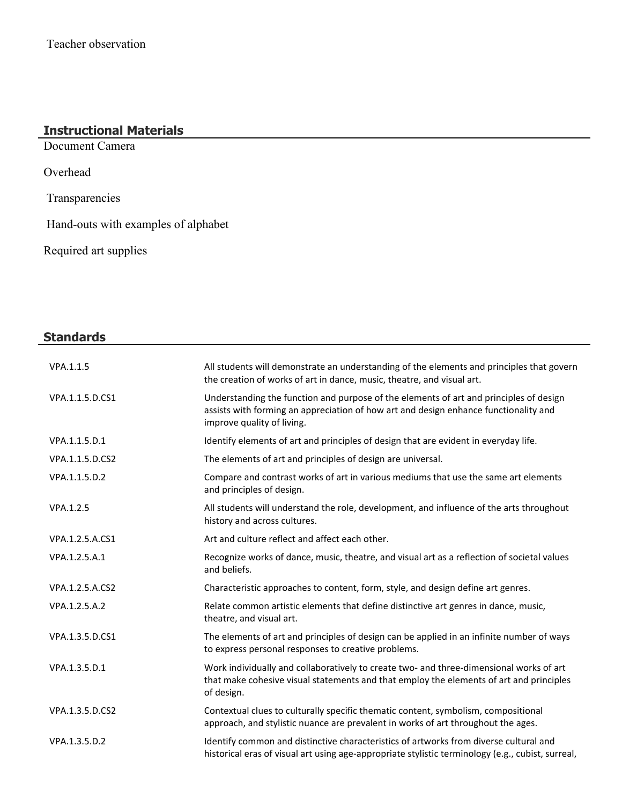# **Instructional Materials**

Document Camera

Overhead

Transparencies

Hand-outs with examples of alphabet

Required art supplies

# **Standards**

| VPA.1.1.5       | All students will demonstrate an understanding of the elements and principles that govern<br>the creation of works of art in dance, music, theatre, and visual art.                                          |
|-----------------|--------------------------------------------------------------------------------------------------------------------------------------------------------------------------------------------------------------|
| VPA.1.1.5.D.CS1 | Understanding the function and purpose of the elements of art and principles of design<br>assists with forming an appreciation of how art and design enhance functionality and<br>improve quality of living. |
| VPA.1.1.5.D.1   | Identify elements of art and principles of design that are evident in everyday life.                                                                                                                         |
| VPA.1.1.5.D.CS2 | The elements of art and principles of design are universal.                                                                                                                                                  |
| VPA.1.1.5.D.2   | Compare and contrast works of art in various mediums that use the same art elements<br>and principles of design.                                                                                             |
| VPA.1.2.5       | All students will understand the role, development, and influence of the arts throughout<br>history and across cultures.                                                                                     |
| VPA.1.2.5.A.CS1 | Art and culture reflect and affect each other.                                                                                                                                                               |
| VPA.1.2.5.A.1   | Recognize works of dance, music, theatre, and visual art as a reflection of societal values<br>and beliefs.                                                                                                  |
| VPA.1.2.5.A.CS2 | Characteristic approaches to content, form, style, and design define art genres.                                                                                                                             |
| VPA.1.2.5.A.2   | Relate common artistic elements that define distinctive art genres in dance, music,<br>theatre, and visual art.                                                                                              |
| VPA.1.3.5.D.CS1 | The elements of art and principles of design can be applied in an infinite number of ways<br>to express personal responses to creative problems.                                                             |
| VPA.1.3.5.D.1   | Work individually and collaboratively to create two- and three-dimensional works of art<br>that make cohesive visual statements and that employ the elements of art and principles<br>of design.             |
| VPA.1.3.5.D.CS2 | Contextual clues to culturally specific thematic content, symbolism, compositional<br>approach, and stylistic nuance are prevalent in works of art throughout the ages.                                      |
| VPA.1.3.5.D.2   | Identify common and distinctive characteristics of artworks from diverse cultural and<br>historical eras of visual art using age-appropriate stylistic terminology (e.g., cubist, surreal,                   |